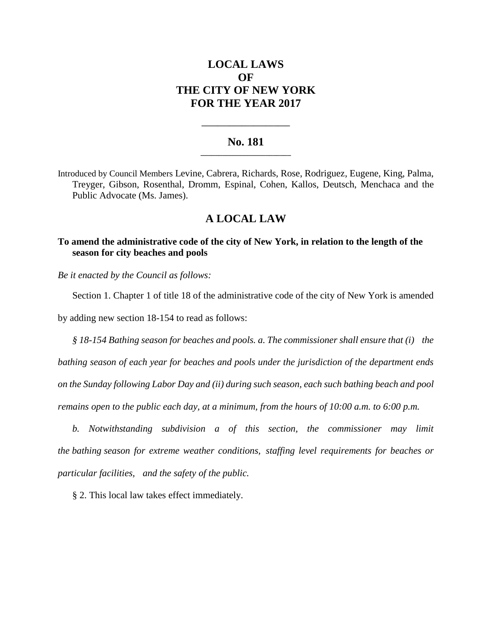# **LOCAL LAWS OF THE CITY OF NEW YORK FOR THE YEAR 2017**

### **No. 181 \_\_\_\_\_\_\_\_\_\_\_\_\_\_\_\_\_\_\_\_\_\_\_\_\_**

**\_\_\_\_\_\_\_\_\_\_\_\_\_\_\_\_\_\_\_\_\_\_**

Introduced by Council Members Levine, Cabrera, Richards, Rose, Rodriguez, Eugene, King, Palma, Treyger, Gibson, Rosenthal, Dromm, Espinal, Cohen, Kallos, Deutsch, Menchaca and the Public Advocate (Ms. James).

## **A LOCAL LAW**

## **To amend the administrative code of the city of New York, in relation to the length of the season for city beaches and pools**

*Be it enacted by the Council as follows:*

Section 1. Chapter 1 of title 18 of the administrative code of the city of New York is amended

by adding new section 18-154 to read as follows:

*§ 18-154 Bathing season for beaches and pools. a. The commissioner shall ensure that (i) the bathing season of each year for beaches and pools under the jurisdiction of the department ends on the Sunday following Labor Day and (ii) during such season, each such bathing beach and pool remains open to the public each day, at a minimum, from the hours of 10:00 a.m. to 6:00 p.m.* 

*b. Notwithstanding subdivision a of this section, the commissioner may limit the bathing season for extreme weather conditions, staffing level requirements for beaches or particular facilities, and the safety of the public.*

§ 2. This local law takes effect immediately.